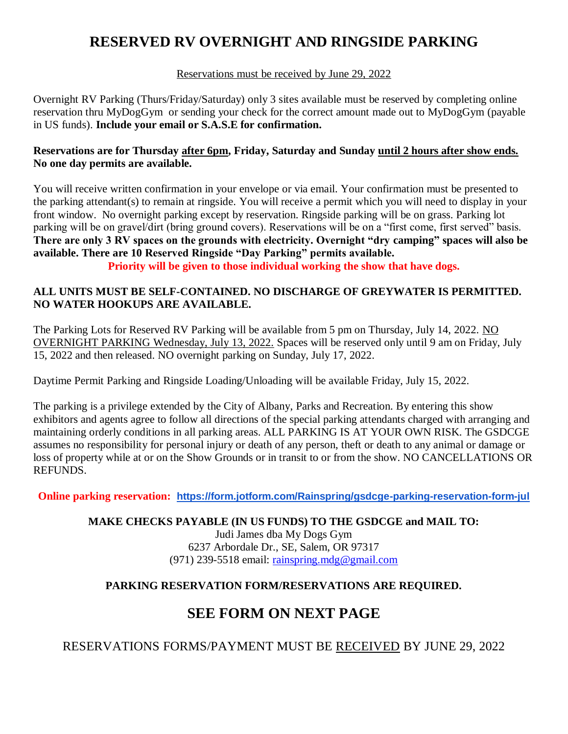# **RESERVED RV OVERNIGHT AND RINGSIDE PARKING**

#### Reservations must be received by June 29, 2022

Overnight RV Parking (Thurs/Friday/Saturday) only 3 sites available must be reserved by completing online reservation thru MyDogGym or sending your check for the correct amount made out to MyDogGym (payable in US funds). **Include your email or S.A.S.E for confirmation.**

#### **Reservations are for Thursday after 6pm, Friday, Saturday and Sunday until 2 hours after show ends. No one day permits are available.**

You will receive written confirmation in your envelope or via email. Your confirmation must be presented to the parking attendant(s) to remain at ringside. You will receive a permit which you will need to display in your front window. No overnight parking except by reservation. Ringside parking will be on grass. Parking lot parking will be on gravel/dirt (bring ground covers). Reservations will be on a "first come, first served" basis. **There are only 3 RV spaces on the grounds with electricity. Overnight "dry camping" spaces will also be available. There are 10 Reserved Ringside "Day Parking" permits available.**

**Priority will be given to those individual working the show that have dogs.**

#### **ALL UNITS MUST BE SELF-CONTAINED. NO DISCHARGE OF GREYWATER IS PERMITTED. NO WATER HOOKUPS ARE AVAILABLE.**

The Parking Lots for Reserved RV Parking will be available from 5 pm on Thursday, July 14, 2022. NO OVERNIGHT PARKING Wednesday, July 13, 2022. Spaces will be reserved only until 9 am on Friday, July 15, 2022 and then released. NO overnight parking on Sunday, July 17, 2022.

Daytime Permit Parking and Ringside Loading/Unloading will be available Friday, July 15, 2022.

The parking is a privilege extended by the City of Albany, Parks and Recreation. By entering this show exhibitors and agents agree to follow all directions of the special parking attendants charged with arranging and maintaining orderly conditions in all parking areas. ALL PARKING IS AT YOUR OWN RISK. The GSDCGE assumes no responsibility for personal injury or death of any person, theft or death to any animal or damage or loss of property while at or on the Show Grounds or in transit to or from the show. NO CANCELLATIONS OR REFUNDS.

**Online parking reservation: <https://form.jotform.com/Rainspring/gsdcge-parking-reservation-form-jul>**

#### **MAKE CHECKS PAYABLE (IN US FUNDS) TO THE GSDCGE and MAIL TO:**

Judi James dba My Dogs Gym 6237 Arbordale Dr., SE, Salem, OR 97317 (971) 239-5518 email: [rainspring.mdg@gmail.com](mailto:rainspring.mdg@gmail.com)

#### **PARKING RESERVATION FORM/RESERVATIONS ARE REQUIRED.**

## **SEE FORM ON NEXT PAGE**

RESERVATIONS FORMS/PAYMENT MUST BE RECEIVED BY JUNE 29, 2022